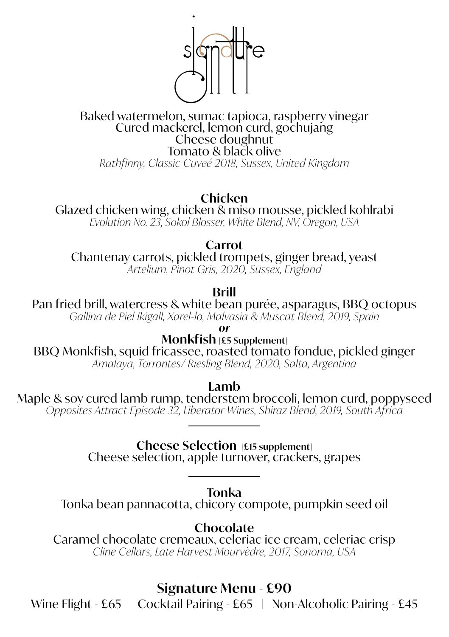

## Baked watermelon, sumac tapioca, raspberry vinegar Cured mackerel, lemon curd, gochujang Cheese doughnut Tomato & black olive

*Rathfinny, Classic Cuveé 2018, Sussex, United Kingdom*

## **Chicken**

Glazed chicken wing, chicken & miso mousse, pickled kohlrabi

*Evolution No. 23, Sokol Blosser, White Blend, NV, Oregon, USA*

**Carrot**

Chantenay carrots, pickled trompets, ginger bread, yeast

*Artelium, Pinot Gris, 2020, Sussex, England*

**Brill**

Pan fried brill, watercress & white bean purée, asparagus, BBQ octopus *Gallina de Piel Ikigall, Xarel-lo, Malvasia & Muscat Blend, 2019, Spain* 

*or*

**Monkfish [£5 Supplement]** BBQ Monkfish, squid fricassee, roasted tomato fondue, pickled ginger *Amalaya, Torrontes/ Riesling Blend, 2020, Salta, Argentina*

**Lamb**

Maple & soy cured lamb rump, tenderstem broccoli, lemon curd, poppyseed *Opposites Attract Episode 32, Liberator Wines, Shiraz Blend, 2019, South Africa*

**Cheese Selection [£15 supplement]**

Cheese selection, apple turnover, crackers, grapes

**Tonka**

Tonka bean pannacotta, chicory compote, pumpkin seed oil

**Chocolate**

Caramel chocolate cremeaux, celeriac ice cream, celeriac crisp *Cline Cellars, Late Harvest Mourvèdre, 2017, Sonoma, USA*

**Signature Menu - £90**

Wine Flight - £65 | Cocktail Pairing - £65 | Non-Alcoholic Pairing - £45